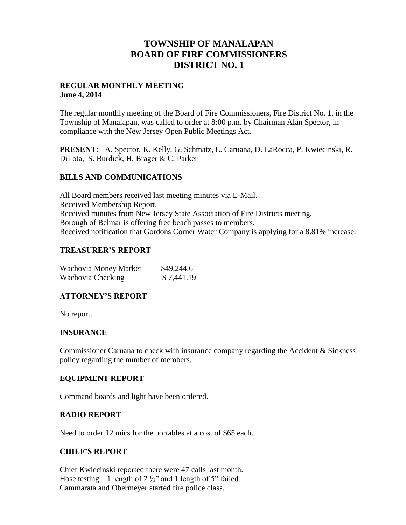## **TOWNSHIP OF MANALAPAN BOARD OF FIRE COMMISSIONERS DISTRICT NO. 1**

### **REGULAR MONTHLY MEETING June 4, 2014**

The regular monthly meeting of the Board of Fire Commissioners, Fire District No. 1, in the Township of Manalapan, was called to order at 8:00 p.m. by Chairman Alan Spector, in compliance with the New Jersey Open Public Meetings Act.

**PRESENT:** A. Spector, K. Kelly, G. Schmatz, L. Caruana, D. LaRocca, P. Kwiecinski, R. DiTota, S. Burdick, H. Brager & C. Parker

### **BILLS AND COMMUNICATIONS**

All Board members received last meeting minutes via E-Mail. Received Membership Report. Received minutes from New Jersey State Association of Fire Districts meeting. Borough of Belmar is offering free beach passes to members. Received notification that Gordons Corner Water Company is applying for a 8.81% increase.

#### **TREASURER'S REPORT**

| Wachovia Money Market | \$49,244.61 |
|-----------------------|-------------|
| Wachovia Checking     | \$7,441.19  |

### **ATTORNEY'S REPORT**

No report.

#### **INSURANCE**

Commissioner Caruana to check with insurance company regarding the Accident & Sickness policy regarding the number of members.

#### **EQUIPMENT REPORT**

Command boards and light have been ordered.

#### **RADIO REPORT**

Need to order 12 mics for the portables at a cost of \$65 each.

#### **CHIEF'S REPORT**

Chief Kwiecinski reported there were 47 calls last month. Hose testing  $-1$  length of 2  $\frac{1}{2}$  and 1 length of 5" failed. Cammarata and Obermeyer started fire police class.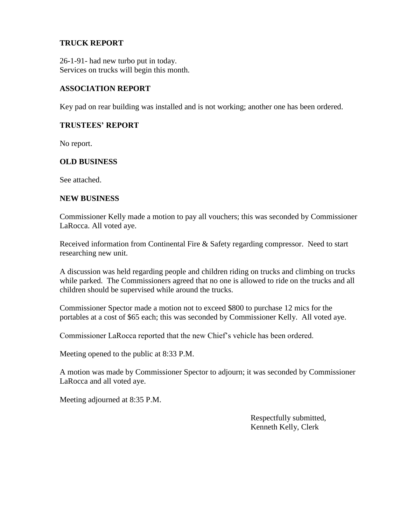### **TRUCK REPORT**

26-1-91- had new turbo put in today. Services on trucks will begin this month.

### **ASSOCIATION REPORT**

Key pad on rear building was installed and is not working; another one has been ordered.

#### **TRUSTEES' REPORT**

No report.

#### **OLD BUSINESS**

See attached.

#### **NEW BUSINESS**

Commissioner Kelly made a motion to pay all vouchers; this was seconded by Commissioner LaRocca. All voted aye.

Received information from Continental Fire & Safety regarding compressor. Need to start researching new unit.

A discussion was held regarding people and children riding on trucks and climbing on trucks while parked. The Commissioners agreed that no one is allowed to ride on the trucks and all children should be supervised while around the trucks.

Commissioner Spector made a motion not to exceed \$800 to purchase 12 mics for the portables at a cost of \$65 each; this was seconded by Commissioner Kelly. All voted aye.

Commissioner LaRocca reported that the new Chief's vehicle has been ordered.

Meeting opened to the public at 8:33 P.M.

A motion was made by Commissioner Spector to adjourn; it was seconded by Commissioner LaRocca and all voted aye.

Meeting adjourned at 8:35 P.M.

 Respectfully submitted, Kenneth Kelly, Clerk